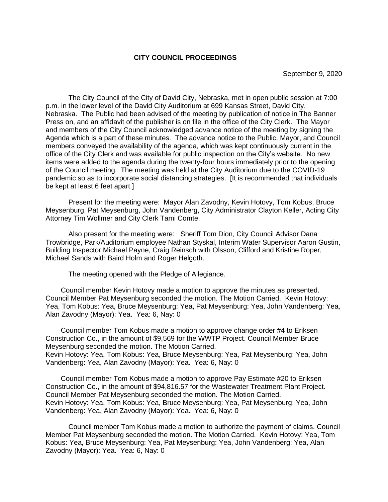### **CITY COUNCIL PROCEEDINGS**

The City Council of the City of David City, Nebraska, met in open public session at 7:00 p.m. in the lower level of the David City Auditorium at 699 Kansas Street, David City, Nebraska. The Public had been advised of the meeting by publication of notice in The Banner Press on, and an affidavit of the publisher is on file in the office of the City Clerk. The Mayor and members of the City Council acknowledged advance notice of the meeting by signing the Agenda which is a part of these minutes. The advance notice to the Public, Mayor, and Council members conveyed the availability of the agenda, which was kept continuously current in the office of the City Clerk and was available for public inspection on the City's website. No new items were added to the agenda during the twenty-four hours immediately prior to the opening of the Council meeting. The meeting was held at the City Auditorium due to the COVID-19 pandemic so as to incorporate social distancing strategies. [It is recommended that individuals be kept at least 6 feet apart.]

Present for the meeting were: Mayor Alan Zavodny, Kevin Hotovy, Tom Kobus, Bruce Meysenburg, Pat Meysenburg, John Vandenberg, City Administrator Clayton Keller, Acting City Attorney Tim Wollmer and City Clerk Tami Comte.

Also present for the meeting were: Sheriff Tom Dion, City Council Advisor Dana Trowbridge, Park/Auditorium employee Nathan Styskal, Interim Water Supervisor Aaron Gustin, Building Inspector Michael Payne, Craig Reinsch with Olsson, Clifford and Kristine Roper, Michael Sands with Baird Holm and Roger Helgoth.

The meeting opened with the Pledge of Allegiance.

Council member Kevin Hotovy made a motion to approve the minutes as presented. Council Member Pat Meysenburg seconded the motion. The Motion Carried. Kevin Hotovy: Yea, Tom Kobus: Yea, Bruce Meysenburg: Yea, Pat Meysenburg: Yea, John Vandenberg: Yea, Alan Zavodny (Mayor): Yea. Yea: 6, Nay: 0

Council member Tom Kobus made a motion to approve change order #4 to Eriksen Construction Co., in the amount of \$9,569 for the WWTP Project. Council Member Bruce Meysenburg seconded the motion. The Motion Carried. Kevin Hotovy: Yea, Tom Kobus: Yea, Bruce Meysenburg: Yea, Pat Meysenburg: Yea, John Vandenberg: Yea, Alan Zavodny (Mayor): Yea. Yea: 6, Nay: 0

Council member Tom Kobus made a motion to approve Pay Estimate #20 to Eriksen Construction Co., in the amount of \$94,816.57 for the Wastewater Treatment Plant Project. Council Member Pat Meysenburg seconded the motion. The Motion Carried. Kevin Hotovy: Yea, Tom Kobus: Yea, Bruce Meysenburg: Yea, Pat Meysenburg: Yea, John Vandenberg: Yea, Alan Zavodny (Mayor): Yea. Yea: 6, Nay: 0

Council member Tom Kobus made a motion to authorize the payment of claims. Council Member Pat Meysenburg seconded the motion. The Motion Carried. Kevin Hotovy: Yea, Tom Kobus: Yea, Bruce Meysenburg: Yea, Pat Meysenburg: Yea, John Vandenberg: Yea, Alan Zavodny (Mayor): Yea. Yea: 6, Nay: 0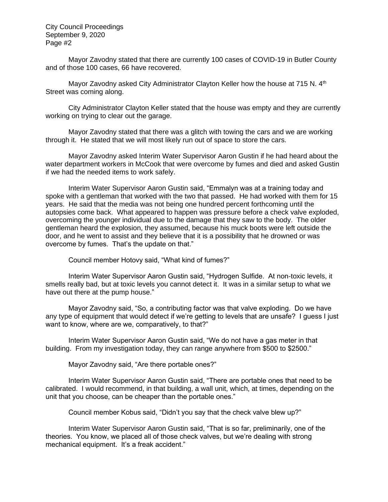Mayor Zavodny stated that there are currently 100 cases of COVID-19 in Butler County and of those 100 cases, 66 have recovered.

Mayor Zavodny asked City Administrator Clayton Keller how the house at 715 N.  $4<sup>th</sup>$ Street was coming along.

City Administrator Clayton Keller stated that the house was empty and they are currently working on trying to clear out the garage.

Mayor Zavodny stated that there was a glitch with towing the cars and we are working through it. He stated that we will most likely run out of space to store the cars.

Mayor Zavodny asked Interim Water Supervisor Aaron Gustin if he had heard about the water department workers in McCook that were overcome by fumes and died and asked Gustin if we had the needed items to work safely.

Interim Water Supervisor Aaron Gustin said, "Emmalyn was at a training today and spoke with a gentleman that worked with the two that passed. He had worked with them for 15 years. He said that the media was not being one hundred percent forthcoming until the autopsies come back. What appeared to happen was pressure before a check valve exploded, overcoming the younger individual due to the damage that they saw to the body. The older gentleman heard the explosion, they assumed, because his muck boots were left outside the door, and he went to assist and they believe that it is a possibility that he drowned or was overcome by fumes. That's the update on that."

Council member Hotovy said, "What kind of fumes?"

Interim Water Supervisor Aaron Gustin said, "Hydrogen Sulfide. At non-toxic levels, it smells really bad, but at toxic levels you cannot detect it. It was in a similar setup to what we have out there at the pump house."

Mayor Zavodny said, "So, a contributing factor was that valve exploding. Do we have any type of equipment that would detect if we're getting to levels that are unsafe? I guess I just want to know, where are we, comparatively, to that?"

Interim Water Supervisor Aaron Gustin said, "We do not have a gas meter in that building. From my investigation today, they can range anywhere from \$500 to \$2500."

Mayor Zavodny said, "Are there portable ones?"

Interim Water Supervisor Aaron Gustin said, "There are portable ones that need to be calibrated. I would recommend, in that building, a wall unit, which, at times, depending on the unit that you choose, can be cheaper than the portable ones."

Council member Kobus said, "Didn't you say that the check valve blew up?"

Interim Water Supervisor Aaron Gustin said, "That is so far, preliminarily, one of the theories. You know, we placed all of those check valves, but we're dealing with strong mechanical equipment. It's a freak accident."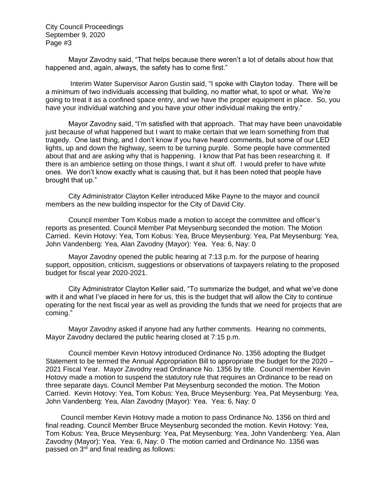Mayor Zavodny said, "That helps because there weren't a lot of details about how that happened and, again, always, the safety has to come first."

Interim Water Supervisor Aaron Gustin said, "I spoke with Clayton today. There will be a minimum of two individuals accessing that building, no matter what, to spot or what. We're going to treat it as a confined space entry, and we have the proper equipment in place. So, you have your individual watching and you have your other individual making the entry."

Mayor Zavodny said, "I'm satisfied with that approach. That may have been unavoidable just because of what happened but I want to make certain that we learn something from that tragedy. One last thing, and I don't know if you have heard comments, but some of our LED lights, up and down the highway, seem to be turning purple. Some people have commented about that and are asking why that is happening. I know that Pat has been researching it. If there is an ambience setting on those things, I want it shut off. I would prefer to have white ones. We don't know exactly what is causing that, but it has been noted that people have brought that up."

City Administrator Clayton Keller introduced Mike Payne to the mayor and council members as the new building inspector for the City of David City.

Council member Tom Kobus made a motion to accept the committee and officer's reports as presented. Council Member Pat Meysenburg seconded the motion. The Motion Carried. Kevin Hotovy: Yea, Tom Kobus: Yea, Bruce Meysenburg: Yea, Pat Meysenburg: Yea, John Vandenberg: Yea, Alan Zavodny (Mayor): Yea. Yea: 6, Nay: 0

Mayor Zavodny opened the public hearing at 7:13 p.m. for the purpose of hearing support, opposition, criticism, suggestions or observations of taxpayers relating to the proposed budget for fiscal year 2020-2021.

City Administrator Clayton Keller said, "To summarize the budget, and what we've done with it and what I've placed in here for us, this is the budget that will allow the City to continue operating for the next fiscal year as well as providing the funds that we need for projects that are coming."

Mayor Zavodny asked if anyone had any further comments. Hearing no comments, Mayor Zavodny declared the public hearing closed at 7:15 p.m.

Council member Kevin Hotovy introduced Ordinance No. 1356 adopting the Budget Statement to be termed the Annual Appropriation Bill to appropriate the budget for the 2020 – 2021 Fiscal Year. Mayor Zavodny read Ordinance No. 1356 by title. Council member Kevin Hotovy made a motion to suspend the statutory rule that requires an Ordinance to be read on three separate days. Council Member Pat Meysenburg seconded the motion. The Motion Carried. Kevin Hotovy: Yea, Tom Kobus: Yea, Bruce Meysenburg: Yea, Pat Meysenburg: Yea, John Vandenberg: Yea, Alan Zavodny (Mayor): Yea. Yea: 6, Nay: 0

Council member Kevin Hotovy made a motion to pass Ordinance No. 1356 on third and final reading. Council Member Bruce Meysenburg seconded the motion. Kevin Hotovy: Yea, Tom Kobus: Yea, Bruce Meysenburg: Yea, Pat Meysenburg: Yea, John Vandenberg: Yea, Alan Zavodny (Mayor): Yea. Yea: 6, Nay: 0 The motion carried and Ordinance No. 1356 was passed on 3<sup>rd</sup> and final reading as follows: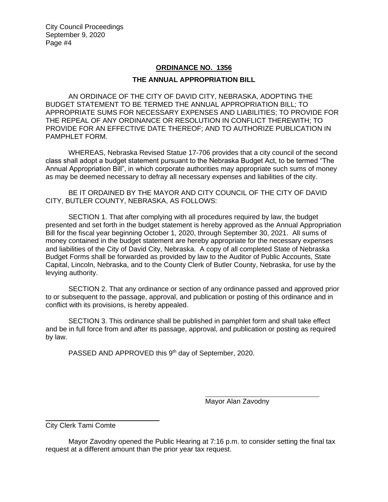# **ORDINANCE NO. 1356**

## **THE ANNUAL APPROPRIATION BILL**

AN ORDINACE OF THE CITY OF DAVID CITY, NEBRASKA, ADOPTING THE BUDGET STATEMENT TO BE TERMED THE ANNUAL APPROPRIATION BILL; TO APPROPRIATE SUMS FOR NECESSARY EXPENSES AND LIABILITIES; TO PROVIDE FOR THE REPEAL OF ANY ORDINANCE OR RESOLUTION IN CONFLICT THEREWITH; TO PROVIDE FOR AN EFFECTIVE DATE THEREOF; AND TO AUTHORIZE PUBLICATION IN PAMPHLET FORM.

WHEREAS, Nebraska Revised Statue 17-706 provides that a city council of the second class shall adopt a budget statement pursuant to the Nebraska Budget Act, to be termed "The Annual Appropriation Bill", in which corporate authorities may appropriate such sums of money as may be deemed necessary to defray all necessary expenses and liabilities of the city.

BE IT ORDAINED BY THE MAYOR AND CITY COUNCIL OF THE CITY OF DAVID CITY, BUTLER COUNTY, NEBRASKA, AS FOLLOWS:

SECTION 1. That after complying with all procedures required by law, the budget presented and set forth in the budget statement is hereby approved as the Annual Appropriation Bill for the fiscal year beginning October 1, 2020, through September 30, 2021. All sums of money contained in the budget statement are hereby appropriate for the necessary expenses and liabilities of the City of David City, Nebraska. A copy of all completed State of Nebraska Budget Forms shall be forwarded as provided by law to the Auditor of Public Accounts, State Capital, Lincoln, Nebraska, and to the County Clerk of Butler County, Nebraska, for use by the levying authority.

SECTION 2. That any ordinance or section of any ordinance passed and approved prior to or subsequent to the passage, approval, and publication or posting of this ordinance and in conflict with its provisions, is hereby appealed.

SECTION 3. This ordinance shall be published in pamphlet form and shall take effect and be in full force from and after its passage, approval, and publication or posting as required by law.

PASSED AND APPROVED this 9<sup>th</sup> day of September, 2020.

i<br>L

Mayor Alan Zavodny

j.

City Clerk Tami Comte

Mayor Zavodny opened the Public Hearing at 7:16 p.m. to consider setting the final tax request at a different amount than the prior year tax request.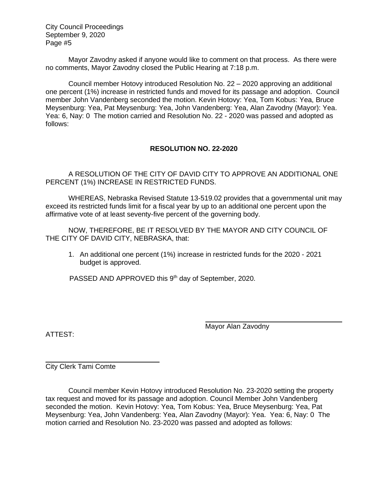Mayor Zavodny asked if anyone would like to comment on that process. As there were no comments, Mayor Zavodny closed the Public Hearing at 7:18 p.m.

Council member Hotovy introduced Resolution No. 22 – 2020 approving an additional one percent (1%) increase in restricted funds and moved for its passage and adoption. Council member John Vandenberg seconded the motion. Kevin Hotovy: Yea, Tom Kobus: Yea, Bruce Meysenburg: Yea, Pat Meysenburg: Yea, John Vandenberg: Yea, Alan Zavodny (Mayor): Yea. Yea: 6, Nay: 0 The motion carried and Resolution No. 22 - 2020 was passed and adopted as follows:

## **RESOLUTION NO. 22-2020**

A RESOLUTION OF THE CITY OF DAVID CITY TO APPROVE AN ADDITIONAL ONE PERCENT (1%) INCREASE IN RESTRICTED FUNDS.

WHEREAS, Nebraska Revised Statute 13-519.02 provides that a governmental unit may exceed its restricted funds limit for a fiscal year by up to an additional one percent upon the affirmative vote of at least seventy-five percent of the governing body.

NOW, THEREFORE, BE IT RESOLVED BY THE MAYOR AND CITY COUNCIL OF THE CITY OF DAVID CITY, NEBRASKA, that:

1. An additional one percent (1%) increase in restricted funds for the 2020 - 2021 budget is approved.

PASSED AND APPROVED this 9<sup>th</sup> day of September, 2020.

Mayor Alan Zavodny

ATTEST:

City Clerk Tami Comte

Council member Kevin Hotovy introduced Resolution No. 23-2020 setting the property tax request and moved for its passage and adoption. Council Member John Vandenberg seconded the motion. Kevin Hotovy: Yea, Tom Kobus: Yea, Bruce Meysenburg: Yea, Pat Meysenburg: Yea, John Vandenberg: Yea, Alan Zavodny (Mayor): Yea. Yea: 6, Nay: 0 The motion carried and Resolution No. 23-2020 was passed and adopted as follows: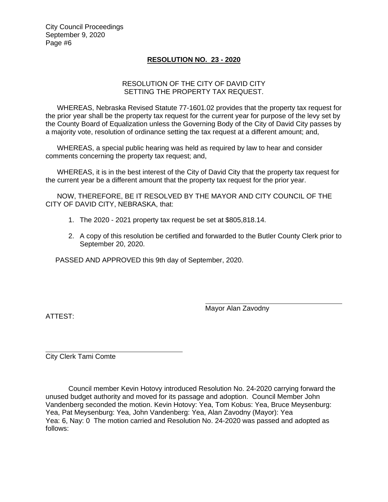### **RESOLUTION NO. 23 - 2020**

### RESOLUTION OF THE CITY OF DAVID CITY SETTING THE PROPERTY TAX REQUEST.

WHEREAS, Nebraska Revised Statute 77-1601.02 provides that the property tax request for the prior year shall be the property tax request for the current year for purpose of the levy set by the County Board of Equalization unless the Governing Body of the City of David City passes by a majority vote, resolution of ordinance setting the tax request at a different amount; and,

WHEREAS, a special public hearing was held as required by law to hear and consider comments concerning the property tax request; and,

WHEREAS, it is in the best interest of the City of David City that the property tax request for the current year be a different amount that the property tax request for the prior year.

NOW, THEREFORE, BE IT RESOLVED BY THE MAYOR AND CITY COUNCIL OF THE CITY OF DAVID CITY, NEBRASKA, that:

- 1. The 2020 2021 property tax request be set at \$805,818.14.
- 2. A copy of this resolution be certified and forwarded to the Butler County Clerk prior to September 20, 2020.

PASSED AND APPROVED this 9th day of September, 2020.

ATTEST:

Mayor Alan Zavodny

j.

City Clerk Tami Comte

Council member Kevin Hotovy introduced Resolution No. 24-2020 carrying forward the unused budget authority and moved for its passage and adoption. Council Member John Vandenberg seconded the motion. Kevin Hotovy: Yea, Tom Kobus: Yea, Bruce Meysenburg: Yea, Pat Meysenburg: Yea, John Vandenberg: Yea, Alan Zavodny (Mayor): Yea Yea: 6, Nay: 0 The motion carried and Resolution No. 24-2020 was passed and adopted as follows: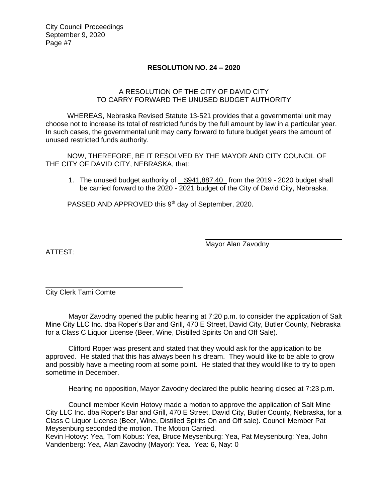# **RESOLUTION NO. 24 – 2020**

# A RESOLUTION OF THE CITY OF DAVID CITY TO CARRY FORWARD THE UNUSED BUDGET AUTHORITY

WHEREAS, Nebraska Revised Statute 13-521 provides that a governmental unit may choose not to increase its total of restricted funds by the full amount by law in a particular year. In such cases, the governmental unit may carry forward to future budget years the amount of unused restricted funds authority.

NOW, THEREFORE, BE IT RESOLVED BY THE MAYOR AND CITY COUNCIL OF THE CITY OF DAVID CITY, NEBRASKA, that:

1. The unused budget authority of \$941,887.40 from the 2019 - 2020 budget shall be carried forward to the 2020 - 2021 budget of the City of David City, Nebraska.

PASSED AND APPROVED this 9<sup>th</sup> day of September, 2020.

ATTEST:

Mayor Alan Zavodny

City Clerk Tami Comte

Mayor Zavodny opened the public hearing at 7:20 p.m. to consider the application of Salt Mine City LLC Inc. dba Roper's Bar and Grill, 470 E Street, David City, Butler County, Nebraska for a Class C Liquor License (Beer, Wine, Distilled Spirits On and Off Sale).

Clifford Roper was present and stated that they would ask for the application to be approved. He stated that this has always been his dream. They would like to be able to grow and possibly have a meeting room at some point. He stated that they would like to try to open sometime in December.

Hearing no opposition, Mayor Zavodny declared the public hearing closed at 7:23 p.m.

Council member Kevin Hotovy made a motion to approve the application of Salt Mine City LLC Inc. dba Roper's Bar and Grill, 470 E Street, David City, Butler County, Nebraska, for a Class C Liquor License (Beer, Wine, Distilled Spirits On and Off sale). Council Member Pat Meysenburg seconded the motion. The Motion Carried.

Kevin Hotovy: Yea, Tom Kobus: Yea, Bruce Meysenburg: Yea, Pat Meysenburg: Yea, John Vandenberg: Yea, Alan Zavodny (Mayor): Yea. Yea: 6, Nay: 0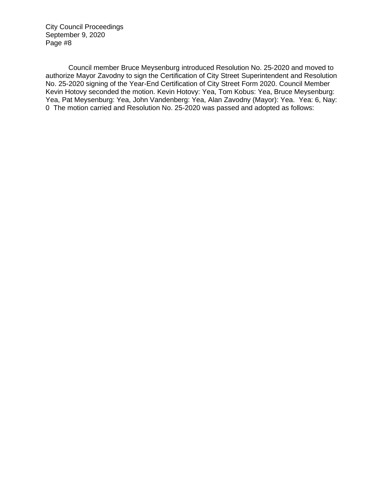Council member Bruce Meysenburg introduced Resolution No. 25-2020 and moved to authorize Mayor Zavodny to sign the Certification of City Street Superintendent and Resolution No. 25-2020 signing of the Year-End Certification of City Street Form 2020. Council Member Kevin Hotovy seconded the motion. Kevin Hotovy: Yea, Tom Kobus: Yea, Bruce Meysenburg: Yea, Pat Meysenburg: Yea, John Vandenberg: Yea, Alan Zavodny (Mayor): Yea. Yea: 6, Nay: 0 The motion carried and Resolution No. 25-2020 was passed and adopted as follows: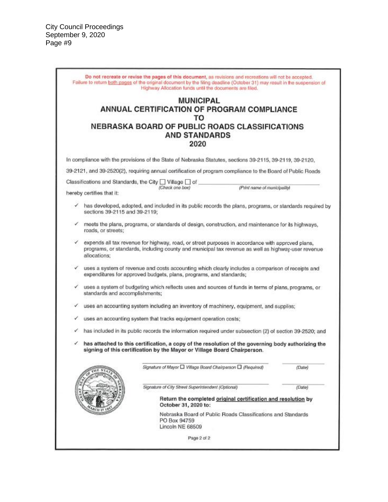|              |                                | Failure to return both pages of the original document by the filing deadline (October 31) may result in the suspension of<br>Highway Allocation funds until the documents are filed.                   |                                                               |        |
|--------------|--------------------------------|--------------------------------------------------------------------------------------------------------------------------------------------------------------------------------------------------------|---------------------------------------------------------------|--------|
|              |                                | <b>MUNICIPAL</b>                                                                                                                                                                                       |                                                               |        |
|              |                                | ANNUAL CERTIFICATION OF PROGRAM COMPLIANCE<br>TO                                                                                                                                                       |                                                               |        |
|              |                                | NEBRASKA BOARD OF PUBLIC ROADS CLASSIFICATIONS                                                                                                                                                         |                                                               |        |
|              |                                | <b>AND STANDARDS</b>                                                                                                                                                                                   |                                                               |        |
|              |                                | 2020                                                                                                                                                                                                   |                                                               |        |
|              |                                | In compliance with the provisions of the State of Nebraska Statutes, sections 39-2115, 39-2119, 39-2120,                                                                                               |                                                               |        |
|              |                                | 39-2121, and 39-2520(2), requiring annual certification of program compliance to the Board of Public Roads                                                                                             |                                                               |        |
|              |                                | Classifications and Standards, the City   Village   of                                                                                                                                                 |                                                               |        |
|              | hereby certifies that it:      | (Check one box)                                                                                                                                                                                        | (Print name of municipality)                                  |        |
| $\checkmark$ | sections 39-2115 and 39-2119;  | has developed, adopted, and included in its public records the plans, programs, or standards required by                                                                                               |                                                               |        |
| v            | roads, or streets;             | meets the plans, programs, or standards of design, construction, and maintenance for its highways,                                                                                                     |                                                               |        |
| ✓            | allocations:                   | expends all tax revenue for highway, road, or street purposes in accordance with approved plans,<br>programs, or standards, including county and municipal tax revenue as well as highway-user revenue |                                                               |        |
| ✓            |                                | uses a system of revenue and costs accounting which clearly includes a comparison of receipts and<br>expenditures for approved budgets, plans, programs, and standards;                                |                                                               |        |
| ✓            | standards and accomplishments; | uses a system of budgeting which reflects uses and sources of funds in terms of plans, programs, or                                                                                                    |                                                               |        |
| √            |                                | uses an accounting system including an inventory of machinery, equipment, and supplies;                                                                                                                |                                                               |        |
| ✓            |                                | uses an accounting system that tracks equipment operation costs;                                                                                                                                       |                                                               |        |
| v            |                                | has included in its public records the information required under subsection (2) of section 39-2520; and                                                                                               |                                                               |        |
| ✓            |                                | has attached to this certification, a copy of the resolution of the governing body authorizing the<br>signing of this certification by the Mayor or Village Board Chairperson.                         |                                                               |        |
|              |                                | Signature of Mayor □ Village Board Chairperson □ (Required)                                                                                                                                            |                                                               | (Date) |
|              |                                | Signature of City Street Superintendent (Optional)                                                                                                                                                     |                                                               | (Date) |
|              |                                | October 31, 2020 to:                                                                                                                                                                                   | Return the completed original certification and resolution by |        |
|              |                                | PO Box 94759<br>Lincoln NE 68509                                                                                                                                                                       | Nebraska Board of Public Roads Classifications and Standards  |        |
|              |                                | Page 2 of 2                                                                                                                                                                                            |                                                               |        |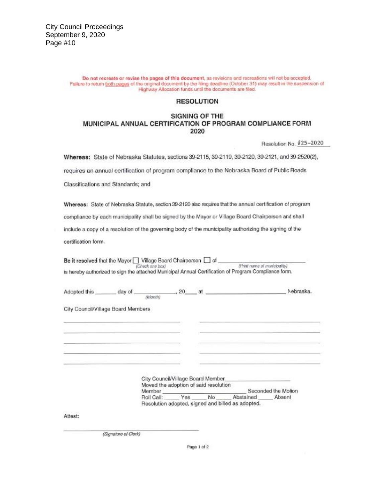Do not recreate or revise the pages of this document, as revisions and recreations will not be accepted. Failure to return both pages of the original document by the filing deadline (October 31) may result in the suspension of Highway Allocation funds until the documents are filed.

#### **RESOLUTION**

#### **SIGNING OF THE** MUNICIPAL ANNUAL CERTIFICATION OF PROGRAM COMPLIANCE FORM 2020

Resolution No. #25-2020

Whereas: State of Nebraska Statutes, sections 39-2115, 39-2119, 39-2120, 39-2121, and 39-2520(2),

requires an annual certification of program compliance to the Nebraska Board of Public Roads

Classifications and Standards; and

Whereas: State of Nebraska Statute, section 39-2120 also requires that the annual certification of program compliance by each municipality shall be signed by the Mayor or Village Board Chairperson and shall include a copy of a resolution of the governing body of the municipality authorizing the signing of the certification form.

| Be it resolved that the Mayor Village Board Chairperson [ ] of | (Check one box)                                                                      |           | (Print name of municipality)<br>is hereby authorized to sign the attached Municipal Annual Certification of Program Compliance form. |                     |
|----------------------------------------------------------------|--------------------------------------------------------------------------------------|-----------|--------------------------------------------------------------------------------------------------------------------------------------|---------------------|
| Adopted this _______ day of __                                 | (Month)                                                                              | $, 20$ at |                                                                                                                                      | Nebraska            |
| City Council/Village Board Members                             |                                                                                      |           |                                                                                                                                      |                     |
|                                                                |                                                                                      |           |                                                                                                                                      |                     |
|                                                                |                                                                                      |           |                                                                                                                                      |                     |
|                                                                | City Council/Village Board Member<br>Moved the adoption of said resolution<br>Member |           |                                                                                                                                      | Seconded the Motion |
|                                                                |                                                                                      |           | Roll Call: Yes No Abstained                                                                                                          | Absent              |
|                                                                |                                                                                      |           | Resolution adopted, signed and billed as adopted.                                                                                    |                     |
| Attest:                                                        |                                                                                      |           |                                                                                                                                      |                     |

(Signature of Clerk)

Page 1 of 2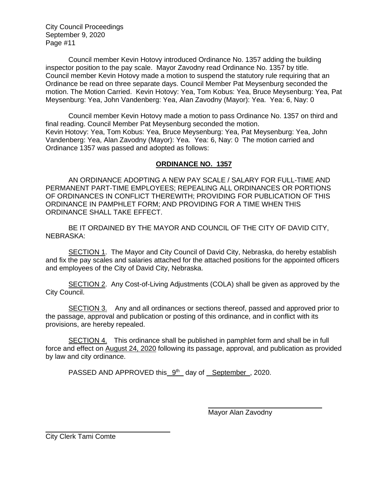Council member Kevin Hotovy introduced Ordinance No. 1357 adding the building inspector position to the pay scale. Mayor Zavodny read Ordinance No. 1357 by title. Council member Kevin Hotovy made a motion to suspend the statutory rule requiring that an Ordinance be read on three separate days. Council Member Pat Meysenburg seconded the motion. The Motion Carried. Kevin Hotovy: Yea, Tom Kobus: Yea, Bruce Meysenburg: Yea, Pat Meysenburg: Yea, John Vandenberg: Yea, Alan Zavodny (Mayor): Yea. Yea: 6, Nay: 0

Council member Kevin Hotovy made a motion to pass Ordinance No. 1357 on third and final reading. Council Member Pat Meysenburg seconded the motion. Kevin Hotovy: Yea, Tom Kobus: Yea, Bruce Meysenburg: Yea, Pat Meysenburg: Yea, John Vandenberg: Yea, Alan Zavodny (Mayor): Yea. Yea: 6, Nay: 0 The motion carried and Ordinance 1357 was passed and adopted as follows:

## **ORDINANCE NO. 1357**

AN ORDINANCE ADOPTING A NEW PAY SCALE / SALARY FOR FULL-TIME AND PERMANENT PART-TIME EMPLOYEES; REPEALING ALL ORDINANCES OR PORTIONS OF ORDINANCES IN CONFLICT THEREWITH; PROVIDING FOR PUBLICATION OF THIS ORDINANCE IN PAMPHLET FORM; AND PROVIDING FOR A TIME WHEN THIS ORDINANCE SHALL TAKE EFFECT.

BE IT ORDAINED BY THE MAYOR AND COUNCIL OF THE CITY OF DAVID CITY, NEBRASKA:

SECTION 1. The Mayor and City Council of David City, Nebraska, do hereby establish and fix the pay scales and salaries attached for the attached positions for the appointed officers and employees of the City of David City, Nebraska.

SECTION 2. Any Cost-of-Living Adjustments (COLA) shall be given as approved by the City Council.

SECTION 3. Any and all ordinances or sections thereof, passed and approved prior to the passage, approval and publication or posting of this ordinance, and in conflict with its provisions, are hereby repealed.

SECTION 4. This ordinance shall be published in pamphlet form and shall be in full force and effect on August 24, 2020 following its passage, approval, and publication as provided by law and city ordinance.

PASSED AND APPROVED this 9<sup>th</sup> day of September, 2020.

Mayor Alan Zavodny

City Clerk Tami Comte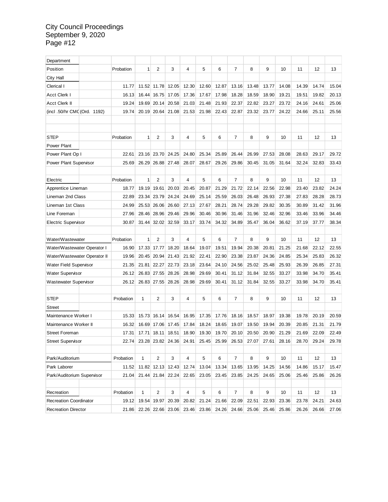| Department                    |  |           |              |                |                   |       |       |       |                |       |       |       |       |       |       |
|-------------------------------|--|-----------|--------------|----------------|-------------------|-------|-------|-------|----------------|-------|-------|-------|-------|-------|-------|
| Position                      |  | Probation | 1            | $\overline{2}$ | 3                 | 4     | 5     | 6     | $\overline{7}$ | 8     | 9     | 10    | 11    | 12    | 13    |
| City Hall                     |  |           |              |                |                   |       |       |       |                |       |       |       |       |       |       |
| Clerical I                    |  | 11.77     |              | 11.52 11.78    | 12.05             | 12.30 | 12.60 | 12.87 | 13.16          | 13.48 | 13.77 | 14.08 | 14.39 | 14.74 | 15.04 |
| <b>Acct Clerk I</b>           |  | 16.13     | 16.44        | 16.75          | 17.05             | 17.36 | 17.67 | 17.98 | 18.28          | 18.59 | 18.90 | 19.21 | 19.51 | 19.82 | 20.13 |
| <b>Acct Clerk II</b>          |  | 19.24     | 19.69        | 20.14          | 20.58             | 21.03 | 21.48 | 21.93 | 22.37          | 22.82 | 23.27 | 23.72 | 24.16 | 24.61 | 25.06 |
| (incl. 50/hr CMC (Ord. 1192)  |  | 19.74     | 20.19        | 20.64          | 21.08             | 21.53 | 21.98 | 22.43 | 22.87          | 23.32 | 23.77 | 24.22 | 24.66 | 25.11 | 25.56 |
|                               |  |           |              |                |                   |       |       |       |                |       |       |       |       |       |       |
|                               |  |           |              |                |                   |       |       |       |                |       |       |       |       |       |       |
| <b>STEP</b>                   |  | Probation | 1            | 2              | 3                 | 4     | 5     | 6     | $\overline{7}$ | 8     | 9     | 10    | 11    | 12    | 13    |
| Power Plant                   |  |           |              |                |                   |       |       |       |                |       |       |       |       |       |       |
| Power Plant Op I              |  | 22.61     | 23.16        | 23.70          | 24.25             | 24.80 | 25.34 | 25.89 | 26.44          | 26.99 | 27.53 | 28.08 | 28.63 | 29.17 | 29.72 |
| <b>Power Plant Supervisor</b> |  | 25.69     | 26.29        | 26.88          | 27.48             | 28.07 | 28.67 | 29.26 | 29.86          | 30.45 | 31.05 | 31.64 | 32.24 | 32.83 | 33.43 |
|                               |  |           |              |                |                   |       |       |       |                |       |       |       |       |       |       |
| Electric                      |  | Probation | $\mathbf{1}$ | 2              | 3                 | 4     | 5     | 6     | $\overline{7}$ | 8     | 9     | 10    | 11    | 12    | 13    |
| Apprentice Lineman            |  | 18.77     | 19.19        | 19.61          | 20.03             | 20.45 | 20.87 | 21.29 | 21.72          | 22.14 | 22.56 | 22.98 | 23.40 | 23.82 | 24.24 |
| Lineman 2nd Class             |  | 22.89     | 23.34        | 23.79          | 24.24             | 24.69 | 25.14 | 25.59 | 26.03          | 26.48 | 26.93 | 27.38 | 27.83 | 28.28 | 28.73 |
| Lineman 1st Class             |  | 24.99     | 25.53        | 26.06          | 26.60             | 27.13 | 27.67 | 28.21 | 28.74          | 29.28 | 29.82 | 30.35 | 30.89 | 31.42 | 31.96 |
| Line Foreman                  |  | 27.96     | 28.46        | 28.96          | 29.46             | 29.96 | 30.46 | 30.96 | 31.46          | 31.96 | 32.46 | 32.96 | 33.46 | 33.96 | 34.46 |
| <b>Electric Supervisor</b>    |  | 30.87     | 31.44        | 32.02          | 32.59             | 33.17 | 33.74 | 34.32 | 34.89          | 35.47 | 36.04 | 36.62 | 37.19 | 37.77 | 38.34 |
|                               |  |           |              |                |                   |       |       |       |                |       |       |       |       |       |       |
| Water/Wastewater              |  | Probation | 1            | 2              | 3                 | 4     | 5     | 6     | $\overline{7}$ | 8     | 9     | 10    | 11    | 12    | 13    |
| Water/Wastewater Operator I   |  |           |              |                |                   |       |       |       |                |       |       |       |       |       |       |
|                               |  | 16.90     | 17.33        | 17.77          | 18.20             | 18.64 | 19.07 | 19.51 | 19.94          | 20.38 | 20.81 | 21.25 | 21.68 | 22.12 | 22.55 |
| Water/Wastewater Operator II  |  | 19.96     | 20.45        | 20.94          | 21.43             | 21.92 | 22.41 | 22.90 | 23.38          | 23.87 | 24.36 | 24.85 | 25.34 | 25.83 | 26.32 |
| <b>Water Field Supervisor</b> |  | 21.35     | 21.81        | 22.27          | 22.73             | 23.18 | 23.64 | 24.10 | 24.56          | 25.02 | 25.48 | 25.93 | 26.39 | 26.85 | 27.31 |
| <b>Water Supervisor</b>       |  | 26.12     | 26.83        | 27.55          | 28.26             | 28.98 | 29.69 | 30.41 | 31.12          | 31.84 | 32.55 | 33.27 | 33.98 | 34.70 | 35.41 |
| <b>Wastewater Supervisor</b>  |  | 26.12     |              | 26.83 27.55    | 28.26             | 28.98 | 29.69 | 30.41 | 31.12          | 31.84 | 32.55 | 33.27 | 33.98 | 34.70 | 35.41 |
|                               |  |           |              |                |                   |       |       |       |                |       |       |       |       |       |       |
| <b>STEP</b>                   |  | Probation | 1            | 2              | 3                 | 4     | 5     | 6     | 7              | 8     | 9     | 10    | 11    | 12    | 13    |
| <b>Street</b>                 |  |           |              |                |                   |       |       |       |                |       |       |       |       |       |       |
| Maintenance Worker I          |  | 15.33     | 15.73        | 16.14          | 16.54             | 16.95 | 17.35 | 17.76 | 18.16          | 18.57 | 18.97 | 19.38 | 19.78 | 20.19 | 20.59 |
| Maintenance Worker II         |  | 16.32     | 16.69        | 17.06          | 17.45             | 17.84 | 18.24 | 18.65 | 19.07          | 19.50 | 19.94 | 20.39 | 20.85 | 21.31 | 21.79 |
| <b>Street Foreman</b>         |  | 17.31     | 17.71        | 18.11          | 18.51             | 18.90 | 19.30 | 19.70 | 20.10          | 20.50 | 20.90 | 21.29 | 21.69 | 22.09 | 22.49 |
| <b>Street Supervisor</b>      |  | 22.74     |              |                | 23.28 23.82 24.36 | 24.91 | 25.45 | 25.99 | 26.53          | 27.07 | 27.61 | 28.16 | 28.70 | 29.24 | 29.78 |
|                               |  |           |              |                |                   |       |       |       |                |       |       |       |       |       |       |
| Park/Auditorium               |  | Probation | 1            | $\overline{2}$ | 3                 | 4     | 5     | 6     | $\overline{7}$ | 8     | 9     | 10    | 11    | 12    | 13    |
| Park Laborer                  |  | 11.52     |              |                | 11.82 12.13 12.43 | 12.74 | 13.04 | 13.34 | 13.65          | 13.95 | 14.25 | 14.56 | 14.86 | 15.17 | 15.47 |
| Park/Auditorium Supervisor    |  | 21.04     |              | 21.44 21.84    | 22.24             | 22.65 | 23.05 | 23.45 | 23.85          | 24.25 | 24.65 | 25.06 | 25.46 | 25.86 | 26.26 |
|                               |  |           |              |                |                   |       |       |       |                |       |       |       |       |       |       |
| Recreation                    |  | Probation | 1            | $\overline{2}$ | 3                 | 4     | 5     | 6     | $\overline{7}$ | 8     | 9     | 10    | 11    | 12    | 13    |
| <b>Recreation Coordinator</b> |  | 19.12     |              |                | 19.54 19.97 20.39 | 20.82 | 21.24 | 21.66 | 22.09          | 22.51 | 22.93 | 23.36 | 23.78 | 24.21 | 24.63 |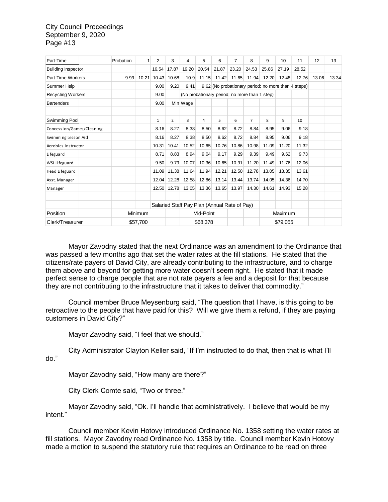| Part-Time                 | Probation | 1        | 2     | 3              | 4                                             | 5        | 6                                                   | 7                                            | 8              | 9     | 10       | 11    | 12    | 13    |
|---------------------------|-----------|----------|-------|----------------|-----------------------------------------------|----------|-----------------------------------------------------|----------------------------------------------|----------------|-------|----------|-------|-------|-------|
| <b>Building Inspector</b> |           |          | 16.54 | 17.87          | 19.20                                         | 20.54    | 21.87                                               | 23.20                                        | 24.53          | 25.86 | 27.19    | 28.52 |       |       |
| Part-Time Workers         | 9.99      | 10.21    | 10.43 | 10.68          | 10.9                                          | 11.15    | 11.42                                               | 11.65                                        | 11.94          | 12.20 | 12.48    | 12.76 | 13.06 | 13.34 |
| Summer Help               |           |          | 9.00  | 9.20           | 9.41                                          |          | 9.62 (No probationary period; no more than 4 steps) |                                              |                |       |          |       |       |       |
| <b>Recycling Workers</b>  |           |          | 9.00  |                | (No probationary period; no more than 1 step) |          |                                                     |                                              |                |       |          |       |       |       |
| <b>Bartenders</b>         |           |          | 9.00  |                | Min Wage                                      |          |                                                     |                                              |                |       |          |       |       |       |
| Swimming Pool             |           |          | 1     | $\overline{2}$ | 3                                             | 4        | 5.                                                  | 6                                            | $\overline{7}$ | 8     | 9        | 10    |       |       |
| Concession/Games/Cleaning |           |          | 8.16  | 8.27           | 8.38                                          | 8.50     | 8.62                                                | 8.72                                         | 8.84           | 8.95  | 9.06     | 9.18  |       |       |
| Swimming Lesson Aid       |           |          | 8.16  | 8.27           | 8.38                                          | 8.50     | 8.62                                                | 8.72                                         | 8.84           | 8.95  | 9.06     | 9.18  |       |       |
| Aerobics Instructor       |           |          | 10.31 | 10.41          | 10.52                                         | 10.65    | 10.76                                               | 10.86                                        | 10.98          | 11.09 | 11.20    | 11.32 |       |       |
| Lifeguard                 |           |          | 8.71  | 8.83           | 8.94                                          | 9.04     | 9.17                                                | 9.29                                         | 9.39           | 9.49  | 9.62     | 9.73  |       |       |
| WSI Lifeguard             |           |          | 9.50  | 9.79           | 10.07                                         | 10.36    | 10.65                                               | 10.91                                        | 11.20          | 11.49 | 11.76    | 12.06 |       |       |
| Head Lifeguard            |           |          | 11.09 | 11.38          | 11.64                                         | 11.94    | 12.21                                               | 12.50                                        | 12.78          | 13.05 | 13.35    | 13.61 |       |       |
| Asst. Manager             |           |          | 12.04 | 12.28          | 12.58                                         | 12.86    | 13.14                                               | 13.44                                        | 13.74          | 14.05 | 14.36    | 14.70 |       |       |
| Manager                   |           |          |       | 12.50 12.78    | 13.05                                         | 13.36    | 13.65                                               | 13.97                                        | 14.30          | 14.61 | 14.93    | 15.28 |       |       |
|                           |           |          |       |                |                                               |          |                                                     | Salaried Staff Pay Plan (Annual Rate of Pay) |                |       |          |       |       |       |
| Position                  |           | Minimum  |       |                | Mid-Point                                     |          |                                                     |                                              | Maximum        |       |          |       |       |       |
| Clerk/Treasurer           |           | \$57,700 |       |                |                                               | \$68,378 |                                                     |                                              |                |       | \$79,055 |       |       |       |

Mayor Zavodny stated that the next Ordinance was an amendment to the Ordinance that was passed a few months ago that set the water rates at the fill stations. He stated that the citizens/rate payers of David City, are already contributing to the infrastructure, and to charge them above and beyond for getting more water doesn't seem right. He stated that it made perfect sense to charge people that are not rate payers a fee and a deposit for that because they are not contributing to the infrastructure that it takes to deliver that commodity."

Council member Bruce Meysenburg said, "The question that I have, is this going to be retroactive to the people that have paid for this? Will we give them a refund, if they are paying customers in David City?"

Mayor Zavodny said, "I feel that we should."

City Administrator Clayton Keller said, "If I'm instructed to do that, then that is what I'll do."

Mayor Zavodny said, "How many are there?"

City Clerk Comte said, "Two or three."

Mayor Zavodny said, "Ok. I'll handle that administratively. I believe that would be my intent."

Council member Kevin Hotovy introduced Ordinance No. 1358 setting the water rates at fill stations. Mayor Zavodny read Ordinance No. 1358 by title. Council member Kevin Hotovy made a motion to suspend the statutory rule that requires an Ordinance to be read on three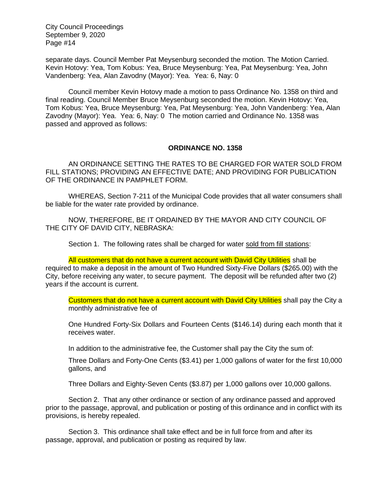separate days. Council Member Pat Meysenburg seconded the motion. The Motion Carried. Kevin Hotovy: Yea, Tom Kobus: Yea, Bruce Meysenburg: Yea, Pat Meysenburg: Yea, John Vandenberg: Yea, Alan Zavodny (Mayor): Yea. Yea: 6, Nay: 0

Council member Kevin Hotovy made a motion to pass Ordinance No. 1358 on third and final reading. Council Member Bruce Meysenburg seconded the motion. Kevin Hotovy: Yea, Tom Kobus: Yea, Bruce Meysenburg: Yea, Pat Meysenburg: Yea, John Vandenberg: Yea, Alan Zavodny (Mayor): Yea. Yea: 6, Nay: 0 The motion carried and Ordinance No. 1358 was passed and approved as follows:

#### **ORDINANCE NO. 1358**

AN ORDINANCE SETTING THE RATES TO BE CHARGED FOR WATER SOLD FROM FILL STATIONS; PROVIDING AN EFFECTIVE DATE; AND PROVIDING FOR PUBLICATION OF THE ORDINANCE IN PAMPHLET FORM.

WHEREAS, Section 7-211 of the Municipal Code provides that all water consumers shall be liable for the water rate provided by ordinance.

NOW, THEREFORE, BE IT ORDAINED BY THE MAYOR AND CITY COUNCIL OF THE CITY OF DAVID CITY, NEBRASKA:

Section 1. The following rates shall be charged for water sold from fill stations:

All customers that do not have a current account with David City Utilities shall be required to make a deposit in the amount of Two Hundred Sixty-Five Dollars (\$265.00) with the City, before receiving any water, to secure payment. The deposit will be refunded after two (2) years if the account is current.

Customers that do not have a current account with David City Utilities shall pay the City a monthly administrative fee of

One Hundred Forty-Six Dollars and Fourteen Cents (\$146.14) during each month that it receives water.

In addition to the administrative fee, the Customer shall pay the City the sum of:

Three Dollars and Forty-One Cents (\$3.41) per 1,000 gallons of water for the first 10,000 gallons, and

Three Dollars and Eighty-Seven Cents (\$3.87) per 1,000 gallons over 10,000 gallons.

Section 2. That any other ordinance or section of any ordinance passed and approved prior to the passage, approval, and publication or posting of this ordinance and in conflict with its provisions, is hereby repealed.

Section 3. This ordinance shall take effect and be in full force from and after its passage, approval, and publication or posting as required by law.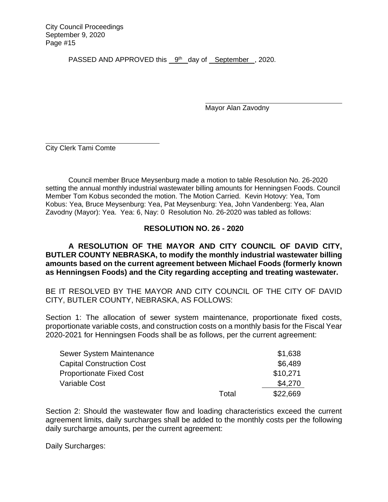PASSED AND APPROVED this 9<sup>th</sup> day of September, 2020.

Mayor Alan Zavodny

City Clerk Tami Comte

Council member Bruce Meysenburg made a motion to table Resolution No. 26-2020 setting the annual monthly industrial wastewater billing amounts for Henningsen Foods. Council Member Tom Kobus seconded the motion. The Motion Carried. Kevin Hotovy: Yea, Tom Kobus: Yea, Bruce Meysenburg: Yea, Pat Meysenburg: Yea, John Vandenberg: Yea, Alan Zavodny (Mayor): Yea. Yea: 6, Nay: 0 Resolution No. 26-2020 was tabled as follows:

# **RESOLUTION NO. 26 - 2020**

**A RESOLUTION OF THE MAYOR AND CITY COUNCIL OF DAVID CITY, BUTLER COUNTY NEBRASKA, to modify the monthly industrial wastewater billing amounts based on the current agreement between Michael Foods (formerly known as Henningsen Foods) and the City regarding accepting and treating wastewater.** 

BE IT RESOLVED BY THE MAYOR AND CITY COUNCIL OF THE CITY OF DAVID CITY, BUTLER COUNTY, NEBRASKA, AS FOLLOWS:

Section 1: The allocation of sewer system maintenance, proportionate fixed costs, proportionate variable costs, and construction costs on a monthly basis for the Fiscal Year 2020-2021 for Henningsen Foods shall be as follows, per the current agreement:

| Sewer System Maintenance         |       | \$1,638  |
|----------------------------------|-------|----------|
| <b>Capital Construction Cost</b> |       | \$6,489  |
| <b>Proportionate Fixed Cost</b>  |       | \$10,271 |
| <b>Variable Cost</b>             |       | \$4,270  |
|                                  | Total | \$22,669 |

Section 2: Should the wastewater flow and loading characteristics exceed the current agreement limits, daily surcharges shall be added to the monthly costs per the following daily surcharge amounts, per the current agreement:

Daily Surcharges: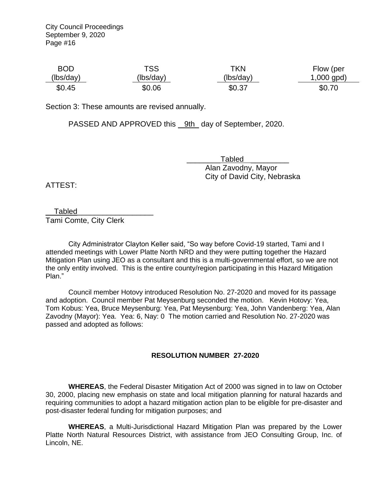| <b>BOD</b> | TSS       | TKN       | Flow (per    |
|------------|-----------|-----------|--------------|
| (lbs/day)  | (lbs/day) | (lbs/day) | $1,000$ gpd) |
| \$0.45     | \$0.06    | \$0.37    | \$0.70       |

Section 3: These amounts are revised annually.

PASSED AND APPROVED this 9th day of September, 2020.

 \_\_\_\_\_\_\_\_Tabled \_\_\_\_\_\_\_\_\_ Alan Zavodny, Mayor City of David City, Nebraska

ATTEST:

\_\_Tabled\_\_\_\_\_\_\_\_\_\_\_\_\_\_\_\_\_\_

Tami Comte, City Clerk

City Administrator Clayton Keller said, "So way before Covid-19 started, Tami and I attended meetings with Lower Platte North NRD and they were putting together the Hazard Mitigation Plan using JEO as a consultant and this is a multi-governmental effort, so we are not the only entity involved. This is the entire county/region participating in this Hazard Mitigation Plan."

Council member Hotovy introduced Resolution No. 27-2020 and moved for its passage and adoption. Council member Pat Meysenburg seconded the motion. Kevin Hotovy: Yea, Tom Kobus: Yea, Bruce Meysenburg: Yea, Pat Meysenburg: Yea, John Vandenberg: Yea, Alan Zavodny (Mayor): Yea. Yea: 6, Nay: 0 The motion carried and Resolution No. 27-2020 was passed and adopted as follows:

# **RESOLUTION NUMBER 27-2020**

**WHEREAS**, the Federal Disaster Mitigation Act of 2000 was signed in to law on October 30, 2000, placing new emphasis on state and local mitigation planning for natural hazards and requiring communities to adopt a hazard mitigation action plan to be eligible for pre-disaster and post-disaster federal funding for mitigation purposes; and

**WHEREAS**, a Multi-Jurisdictional Hazard Mitigation Plan was prepared by the Lower Platte North Natural Resources District, with assistance from JEO Consulting Group, Inc. of Lincoln, NE.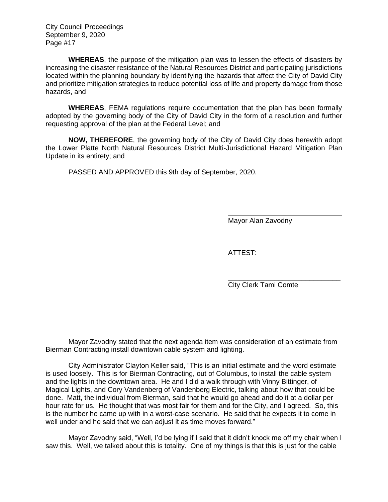**WHEREAS**, the purpose of the mitigation plan was to lessen the effects of disasters by increasing the disaster resistance of the Natural Resources District and participating jurisdictions located within the planning boundary by identifying the hazards that affect the City of David City and prioritize mitigation strategies to reduce potential loss of life and property damage from those hazards, and

**WHEREAS**, FEMA regulations require documentation that the plan has been formally adopted by the governing body of the City of David City in the form of a resolution and further requesting approval of the plan at the Federal Level; and

**NOW, THEREFORE**, the governing body of the City of David City does herewith adopt the Lower Platte North Natural Resources District Multi-Jurisdictional Hazard Mitigation Plan Update in its entirety; and

PASSED AND APPROVED this 9th day of September, 2020.

Mayor Alan Zavodny

ATTEST:

\_\_\_\_\_\_\_\_\_\_\_\_\_\_\_\_\_\_\_\_\_\_\_\_\_\_\_\_\_ City Clerk Tami Comte

Mayor Zavodny stated that the next agenda item was consideration of an estimate from Bierman Contracting install downtown cable system and lighting.

City Administrator Clayton Keller said, "This is an initial estimate and the word estimate is used loosely. This is for Bierman Contracting, out of Columbus, to install the cable system and the lights in the downtown area. He and I did a walk through with Vinny Bittinger, of Magical Lights, and Cory Vandenberg of Vandenberg Electric, talking about how that could be done. Matt, the individual from Bierman, said that he would go ahead and do it at a dollar per hour rate for us. He thought that was most fair for them and for the City, and I agreed. So, this is the number he came up with in a worst-case scenario. He said that he expects it to come in well under and he said that we can adjust it as time moves forward."

Mayor Zavodny said, "Well, I'd be lying if I said that it didn't knock me off my chair when I saw this. Well, we talked about this is totality. One of my things is that this is just for the cable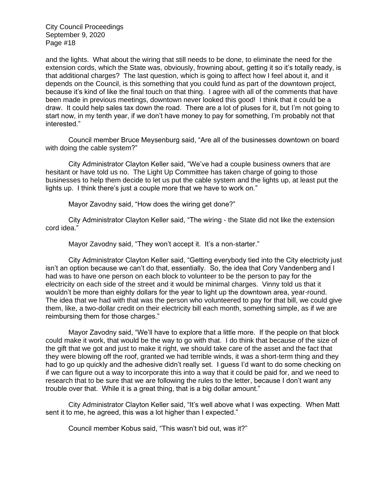and the lights. What about the wiring that still needs to be done, to eliminate the need for the extension cords, which the State was, obviously, frowning about, getting it so it's totally ready, is that additional charges? The last question, which is going to affect how I feel about it, and it depends on the Council, is this something that you could fund as part of the downtown project, because it's kind of like the final touch on that thing. I agree with all of the comments that have been made in previous meetings, downtown never looked this good! I think that it could be a draw. It could help sales tax down the road. There are a lot of pluses for it, but I'm not going to start now, in my tenth year, if we don't have money to pay for something, I'm probably not that interested."

Council member Bruce Meysenburg said, "Are all of the businesses downtown on board with doing the cable system?"

City Administrator Clayton Keller said, "We've had a couple business owners that are hesitant or have told us no. The Light Up Committee has taken charge of going to those businesses to help them decide to let us put the cable system and the lights up, at least put the lights up. I think there's just a couple more that we have to work on."

Mayor Zavodny said, "How does the wiring get done?"

City Administrator Clayton Keller said, "The wiring - the State did not like the extension cord idea."

Mayor Zavodny said, "They won't accept it. It's a non-starter."

City Administrator Clayton Keller said, "Getting everybody tied into the City electricity just isn't an option because we can't do that, essentially. So, the idea that Cory Vandenberg and I had was to have one person on each block to volunteer to be the person to pay for the electricity on each side of the street and it would be minimal charges. Vinny told us that it wouldn't be more than eighty dollars for the year to light up the downtown area, year-round. The idea that we had with that was the person who volunteered to pay for that bill, we could give them, like, a two-dollar credit on their electricity bill each month, something simple, as if we are reimbursing them for those charges."

Mayor Zavodny said, "We'll have to explore that a little more. If the people on that block could make it work, that would be the way to go with that. I do think that because of the size of the gift that we got and just to make it right, we should take care of the asset and the fact that they were blowing off the roof, granted we had terrible winds, it was a short-term thing and they had to go up quickly and the adhesive didn't really set. I guess I'd want to do some checking on if we can figure out a way to incorporate this into a way that it could be paid for, and we need to research that to be sure that we are following the rules to the letter, because I don't want any trouble over that. While it is a great thing, that is a big dollar amount."

City Administrator Clayton Keller said, "It's well above what I was expecting. When Matt sent it to me, he agreed, this was a lot higher than I expected."

Council member Kobus said, "This wasn't bid out, was it?"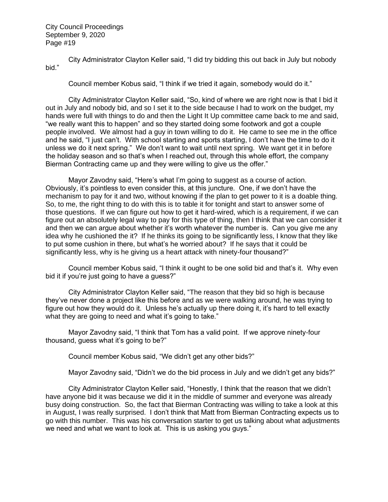City Administrator Clayton Keller said, "I did try bidding this out back in July but nobody bid."

Council member Kobus said, "I think if we tried it again, somebody would do it."

City Administrator Clayton Keller said, "So, kind of where we are right now is that I bid it out in July and nobody bid, and so I set it to the side because I had to work on the budget, my hands were full with things to do and then the Light It Up committee came back to me and said, "we really want this to happen" and so they started doing some footwork and got a couple people involved. We almost had a guy in town willing to do it. He came to see me in the office and he said, "I just can't. With school starting and sports starting, I don't have the time to do it unless we do it next spring." We don't want to wait until next spring. We want get it in before the holiday season and so that's when I reached out, through this whole effort, the company Bierman Contracting came up and they were willing to give us the offer."

Mayor Zavodny said, "Here's what I'm going to suggest as a course of action. Obviously, it's pointless to even consider this, at this juncture. One, if we don't have the mechanism to pay for it and two, without knowing if the plan to get power to it is a doable thing. So, to me, the right thing to do with this is to table it for tonight and start to answer some of those questions. If we can figure out how to get it hard-wired, which is a requirement, if we can figure out an absolutely legal way to pay for this type of thing, then I think that we can consider it and then we can argue about whether it's worth whatever the number is. Can you give me any idea why he cushioned the it? If he thinks its going to be significantly less, I know that they like to put some cushion in there, but what's he worried about? If he says that it could be significantly less, why is he giving us a heart attack with ninety-four thousand?"

Council member Kobus said, "I think it ought to be one solid bid and that's it. Why even bid it if you're just going to have a guess?"

City Administrator Clayton Keller said, "The reason that they bid so high is because they've never done a project like this before and as we were walking around, he was trying to figure out how they would do it. Unless he's actually up there doing it, it's hard to tell exactly what they are going to need and what it's going to take."

Mayor Zavodny said, "I think that Tom has a valid point. If we approve ninety-four thousand, guess what it's going to be?"

Council member Kobus said, "We didn't get any other bids?"

Mayor Zavodny said, "Didn't we do the bid process in July and we didn't get any bids?"

City Administrator Clayton Keller said, "Honestly, I think that the reason that we didn't have anyone bid it was because we did it in the middle of summer and everyone was already busy doing construction. So, the fact that Bierman Contracting was willing to take a look at this in August, I was really surprised. I don't think that Matt from Bierman Contracting expects us to go with this number. This was his conversation starter to get us talking about what adjustments we need and what we want to look at. This is us asking you guys."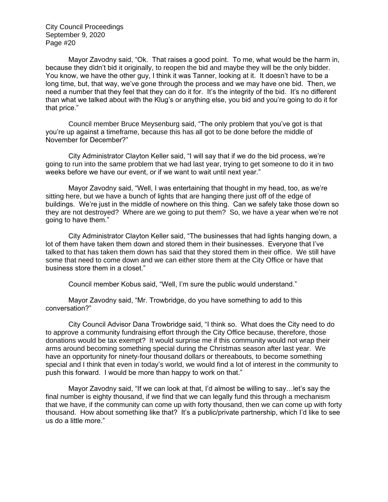Mayor Zavodny said, "Ok. That raises a good point. To me, what would be the harm in, because they didn't bid it originally, to reopen the bid and maybe they will be the only bidder. You know, we have the other guy, I think it was Tanner, looking at it. It doesn't have to be a long time, but, that way, we've gone through the process and we may have one bid. Then, we need a number that they feel that they can do it for. It's the integrity of the bid. It's no different than what we talked about with the Klug's or anything else, you bid and you're going to do it for that price."

Council member Bruce Meysenburg said, "The only problem that you've got is that you're up against a timeframe, because this has all got to be done before the middle of November for December?"

City Administrator Clayton Keller said, "I will say that if we do the bid process, we're going to run into the same problem that we had last year, trying to get someone to do it in two weeks before we have our event, or if we want to wait until next year."

Mayor Zavodny said, "Well, I was entertaining that thought in my head, too, as we're sitting here, but we have a bunch of lights that are hanging there just off of the edge of buildings. We're just in the middle of nowhere on this thing. Can we safely take those down so they are not destroyed? Where are we going to put them? So, we have a year when we're not going to have them."

City Administrator Clayton Keller said, "The businesses that had lights hanging down, a lot of them have taken them down and stored them in their businesses. Everyone that I've talked to that has taken them down has said that they stored them in their office. We still have some that need to come down and we can either store them at the City Office or have that business store them in a closet."

Council member Kobus said, "Well, I'm sure the public would understand."

Mayor Zavodny said, "Mr. Trowbridge, do you have something to add to this conversation?"

City Council Advisor Dana Trowbridge said, "I think so. What does the City need to do to approve a community fundraising effort through the City Office because, therefore, those donations would be tax exempt? It would surprise me if this community would not wrap their arms around becoming something special during the Christmas season after last year. We have an opportunity for ninety-four thousand dollars or thereabouts, to become something special and I think that even in today's world, we would find a lot of interest in the community to push this forward. I would be more than happy to work on that."

Mayor Zavodny said, "If we can look at that, I'd almost be willing to say…let's say the final number is eighty thousand, if we find that we can legally fund this through a mechanism that we have, if the community can come up with forty thousand, then we can come up with forty thousand. How about something like that? It's a public/private partnership, which I'd like to see us do a little more."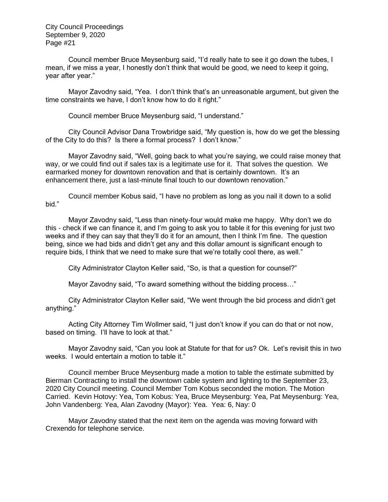Council member Bruce Meysenburg said, "I'd really hate to see it go down the tubes, I mean, if we miss a year, I honestly don't think that would be good, we need to keep it going, year after year."

Mayor Zavodny said, "Yea. I don't think that's an unreasonable argument, but given the time constraints we have, I don't know how to do it right."

Council member Bruce Meysenburg said, "I understand."

City Council Advisor Dana Trowbridge said, "My question is, how do we get the blessing of the City to do this? Is there a formal process? I don't know."

Mayor Zavodny said, "Well, going back to what you're saying, we could raise money that way, or we could find out if sales tax is a legitimate use for it. That solves the question. We earmarked money for downtown renovation and that is certainly downtown. It's an enhancement there, just a last-minute final touch to our downtown renovation."

Council member Kobus said, "I have no problem as long as you nail it down to a solid bid."

Mayor Zavodny said, "Less than ninety-four would make me happy. Why don't we do this - check if we can finance it, and I'm going to ask you to table it for this evening for just two weeks and if they can say that they'll do it for an amount, then I think I'm fine. The question being, since we had bids and didn't get any and this dollar amount is significant enough to require bids, I think that we need to make sure that we're totally cool there, as well."

City Administrator Clayton Keller said, "So, is that a question for counsel?"

Mayor Zavodny said, "To award something without the bidding process…"

City Administrator Clayton Keller said, "We went through the bid process and didn't get anything."

Acting City Attorney Tim Wollmer said, "I just don't know if you can do that or not now, based on timing. I'll have to look at that."

Mayor Zavodny said, "Can you look at Statute for that for us? Ok. Let's revisit this in two weeks. I would entertain a motion to table it."

Council member Bruce Meysenburg made a motion to table the estimate submitted by Bierman Contracting to install the downtown cable system and lighting to the September 23, 2020 City Council meeting. Council Member Tom Kobus seconded the motion. The Motion Carried. Kevin Hotovy: Yea, Tom Kobus: Yea, Bruce Meysenburg: Yea, Pat Meysenburg: Yea, John Vandenberg: Yea, Alan Zavodny (Mayor): Yea. Yea: 6, Nay: 0

Mayor Zavodny stated that the next item on the agenda was moving forward with Crexendo for telephone service.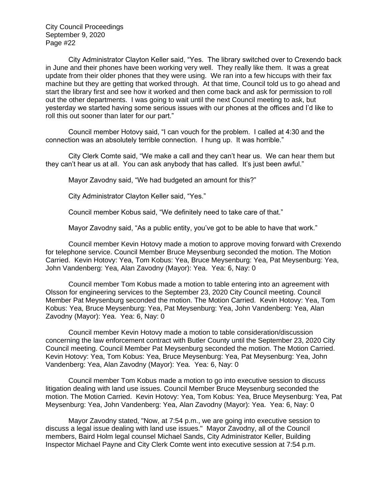City Administrator Clayton Keller said, "Yes. The library switched over to Crexendo back in June and their phones have been working very well. They really like them. It was a great update from their older phones that they were using. We ran into a few hiccups with their fax machine but they are getting that worked through. At that time, Council told us to go ahead and start the library first and see how it worked and then come back and ask for permission to roll out the other departments. I was going to wait until the next Council meeting to ask, but yesterday we started having some serious issues with our phones at the offices and I'd like to roll this out sooner than later for our part."

Council member Hotovy said, "I can vouch for the problem. I called at 4:30 and the connection was an absolutely terrible connection. I hung up. It was horrible."

City Clerk Comte said, "We make a call and they can't hear us. We can hear them but they can't hear us at all. You can ask anybody that has called. It's just been awful."

Mayor Zavodny said, "We had budgeted an amount for this?"

City Administrator Clayton Keller said, "Yes."

Council member Kobus said, "We definitely need to take care of that."

Mayor Zavodny said, "As a public entity, you've got to be able to have that work."

Council member Kevin Hotovy made a motion to approve moving forward with Crexendo for telephone service. Council Member Bruce Meysenburg seconded the motion. The Motion Carried. Kevin Hotovy: Yea, Tom Kobus: Yea, Bruce Meysenburg: Yea, Pat Meysenburg: Yea, John Vandenberg: Yea, Alan Zavodny (Mayor): Yea. Yea: 6, Nay: 0

Council member Tom Kobus made a motion to table entering into an agreement with Olsson for engineering services to the September 23, 2020 City Council meeting. Council Member Pat Meysenburg seconded the motion. The Motion Carried. Kevin Hotovy: Yea, Tom Kobus: Yea, Bruce Meysenburg: Yea, Pat Meysenburg: Yea, John Vandenberg: Yea, Alan Zavodny (Mayor): Yea. Yea: 6, Nay: 0

Council member Kevin Hotovy made a motion to table consideration/discussion concerning the law enforcement contract with Butler County until the September 23, 2020 City Council meeting. Council Member Pat Meysenburg seconded the motion. The Motion Carried. Kevin Hotovy: Yea, Tom Kobus: Yea, Bruce Meysenburg: Yea, Pat Meysenburg: Yea, John Vandenberg: Yea, Alan Zavodny (Mayor): Yea. Yea: 6, Nay: 0

Council member Tom Kobus made a motion to go into executive session to discuss litigation dealing with land use issues. Council Member Bruce Meysenburg seconded the motion. The Motion Carried. Kevin Hotovy: Yea, Tom Kobus: Yea, Bruce Meysenburg: Yea, Pat Meysenburg: Yea, John Vandenberg: Yea, Alan Zavodny (Mayor): Yea. Yea: 6, Nay: 0

Mayor Zavodny stated, "Now, at 7:54 p.m., we are going into executive session to discuss a legal issue dealing with land use issues." Mayor Zavodny, all of the Council members, Baird Holm legal counsel Michael Sands, City Administrator Keller, Building Inspector Michael Payne and City Clerk Comte went into executive session at 7:54 p.m.